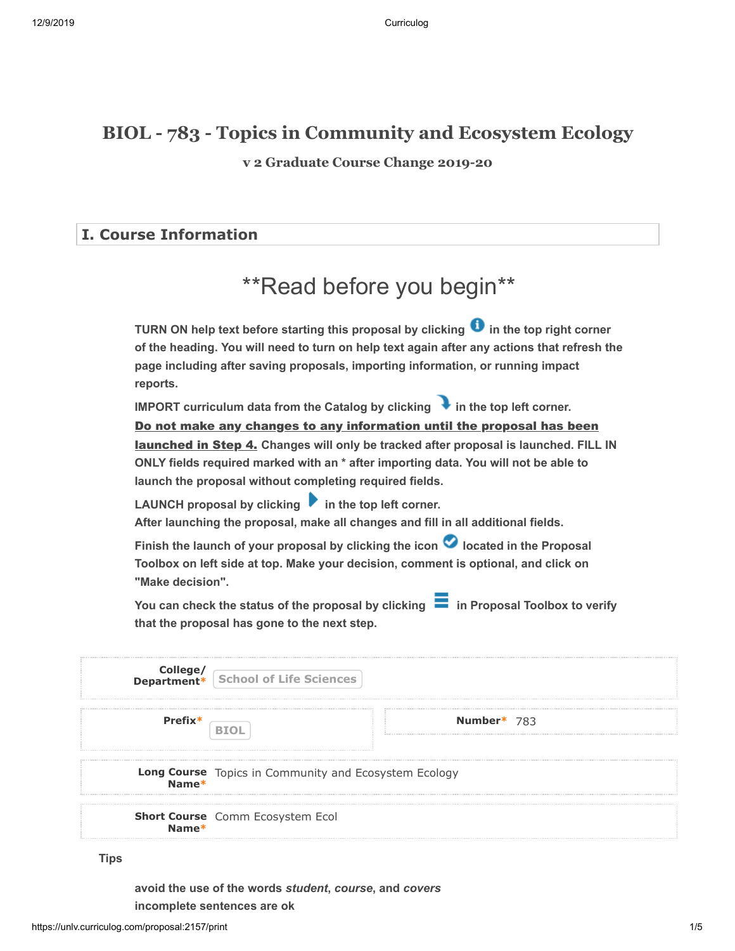## **BIOL - 783 - Topics in Community and Ecosystem Ecology**

**v 2 Graduate Course Change 2019-20**

### **I. Course Information**

# \*\*Read before you begin\*\*

**TURN ON help text before starting this proposal by clicking**  $\bullet$  **in the top right corner of the heading. You will need to turn on help text again after any actions that refresh the page including after saving proposals, importing information, or running impact reports.**

**IMPORT curriculum data from the Catalog by clicking**  in the top left corner. <u>launched in Step 4.</u> Changes will only be tracked after proposal is launched. FILL IN **ONLY fields required marked with an \* after importing data. You will not be able to launch the proposal without completing required fields.**  Do not make any changes to any information until the proposal has been

LAUNCH proposal by clicking **in the top left corner. After launching the proposal, make all changes and fill in all additional fields.** 

Finish the launch of your proposal by clicking the icon **O** located in the Proposal **Toolbox on left side at top. Make your decision, comment is optional, and click on "Make decision".**

You can check the status of the proposal by clicking **in Proposal Toolbox to verify that the proposal has gone to the next step.**

|         | <b>College/</b><br><b>Department*</b> School of Life Sciences  |             |  |
|---------|----------------------------------------------------------------|-------------|--|
| Prefix* |                                                                | Number* 783 |  |
|         | Long Course Topics in Community and Ecosystem Ecology<br>Name* |             |  |
| $Name*$ | Short Course Comm Ecosystem Ecol                               |             |  |

**Tips**

**avoid the use of the words** *student***,** *course***, and** *covers* **incomplete sentences are ok**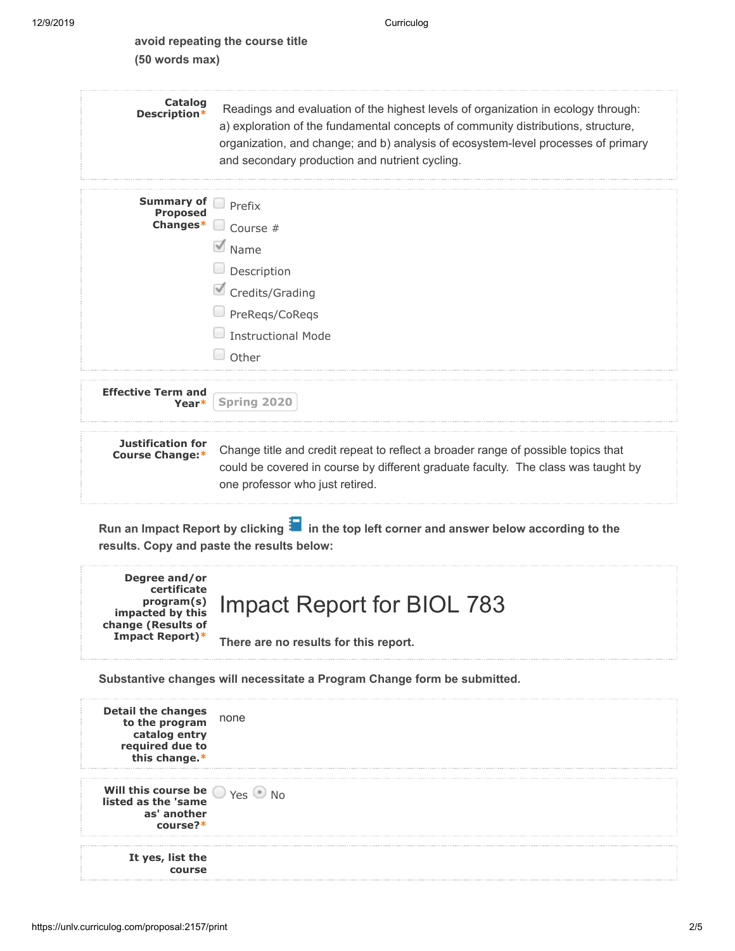| avoid repeating the course title |  |
|----------------------------------|--|
| $(50$ words max)                 |  |

| <b>Catalog</b><br>Description*                     | Readings and evaluation of the highest levels of organization in ecology through:<br>a) exploration of the fundamental concepts of community distributions, structure,<br>organization, and change; and b) analysis of ecosystem-level processes of primary<br>and secondary production and nutrient cycling. |
|----------------------------------------------------|---------------------------------------------------------------------------------------------------------------------------------------------------------------------------------------------------------------------------------------------------------------------------------------------------------------|
| <b>Summary of</b><br><b>Proposed</b><br>Changes*   | Prefix<br>$\Box$ Course #<br>Mame<br>$\Box$ Description<br>Credits/Grading<br>PreReqs/CoReqs<br><b>Instructional Mode</b><br>Other                                                                                                                                                                            |
| <b>Effective Term and</b><br>Year*                 | Spring 2020                                                                                                                                                                                                                                                                                                   |
| <b>Justification for</b><br><b>Course Change:*</b> | Change title and credit repeat to reflect a broader range of possible topics that<br>could be covered in course by different graduate faculty. The class was taught by<br>one professor who just retired.                                                                                                     |
|                                                    | Run an Impact Report by clicking $\blacksquare$ in the top left corner and answer below according to the<br>results. Copy and paste the results below:                                                                                                                                                        |

| Degree and/or<br>certificate<br>change (Results of<br>Impact Report)* | program(s) Impact Report for BIOL 783 |
|-----------------------------------------------------------------------|---------------------------------------|
|                                                                       | There are no results for this report. |

**Substantive changes will necessitate a Program Change form be submitted.**

| <b>Detail the changes</b><br>to the program<br>catalog entry<br>required due to<br>this change.* | none |
|--------------------------------------------------------------------------------------------------|------|
| Will this course be $\bigcirc$ Yes $\bullet$<br>listed as the 'same<br>as' another<br>course?*   |      |
| It yes, list the                                                                                 |      |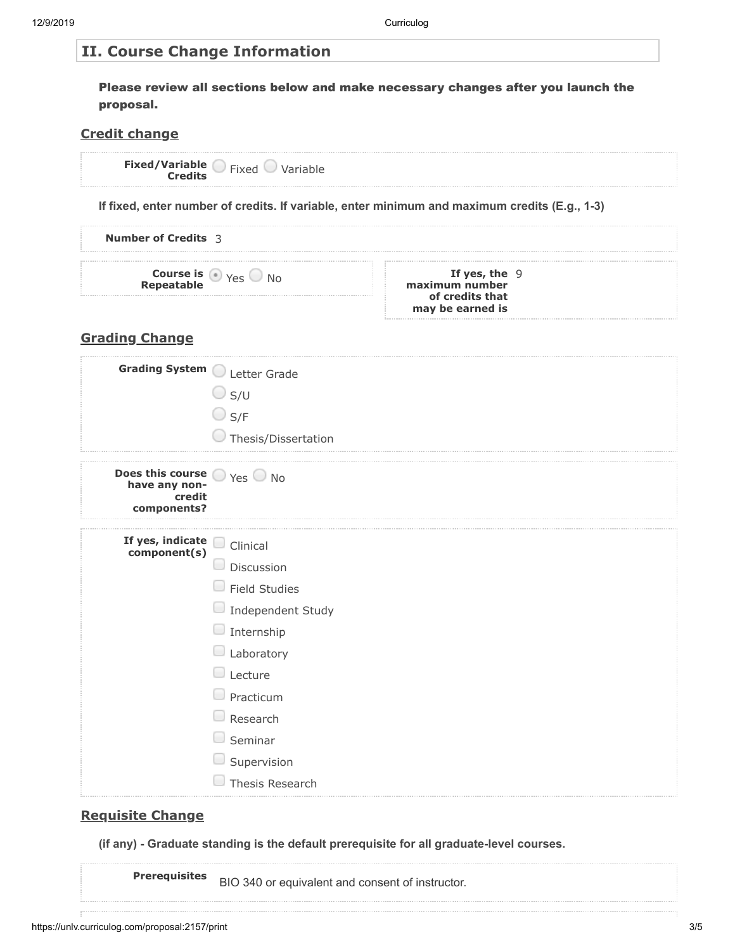#### **II. Course Change Information**

Please review all sections below and make necessary changes after you launch the proposal.

### **Credit change**

|                                                                                                       | Fixed/Variable Fixed Variable                                                                                                                                                                     |                                                                                               |
|-------------------------------------------------------------------------------------------------------|---------------------------------------------------------------------------------------------------------------------------------------------------------------------------------------------------|-----------------------------------------------------------------------------------------------|
|                                                                                                       |                                                                                                                                                                                                   | If fixed, enter number of credits. If variable, enter minimum and maximum credits (E.g., 1-3) |
| <b>Number of Credits 3</b>                                                                            |                                                                                                                                                                                                   |                                                                                               |
|                                                                                                       | <b>Course is Way Yes ONO</b>                                                                                                                                                                      | If yes, the $9$<br>maximum number<br>of credits that<br>may be earned is                      |
| <b>Grading Change</b>                                                                                 |                                                                                                                                                                                                   |                                                                                               |
| Grading System Letter Grade                                                                           | $\bigcirc$ s/u<br>$\bigcirc$ S/F<br>Thesis/Dissertation                                                                                                                                           |                                                                                               |
| <b>Does this course</b> $\bigcirc$ Yes $\bigcirc$ No<br><b>have any non-</b><br>credit<br>components? |                                                                                                                                                                                                   |                                                                                               |
| If yes, indicate<br>component(s)                                                                      | Clinical<br>Discussion<br>$\Box$ Field Studies<br>$\Box$ Independent Study<br>Internship<br>Laboratory<br>Lecture<br>Practicum<br>Research<br>Seminar<br>$\Box$<br>Supervision<br>Thesis Research |                                                                                               |

#### **Requisite Change**

**(if any) - Graduate standing is the default prerequisite for all graduate-level courses.**

**Prerequisites** BIO 340 or equivalent and consent of instructor.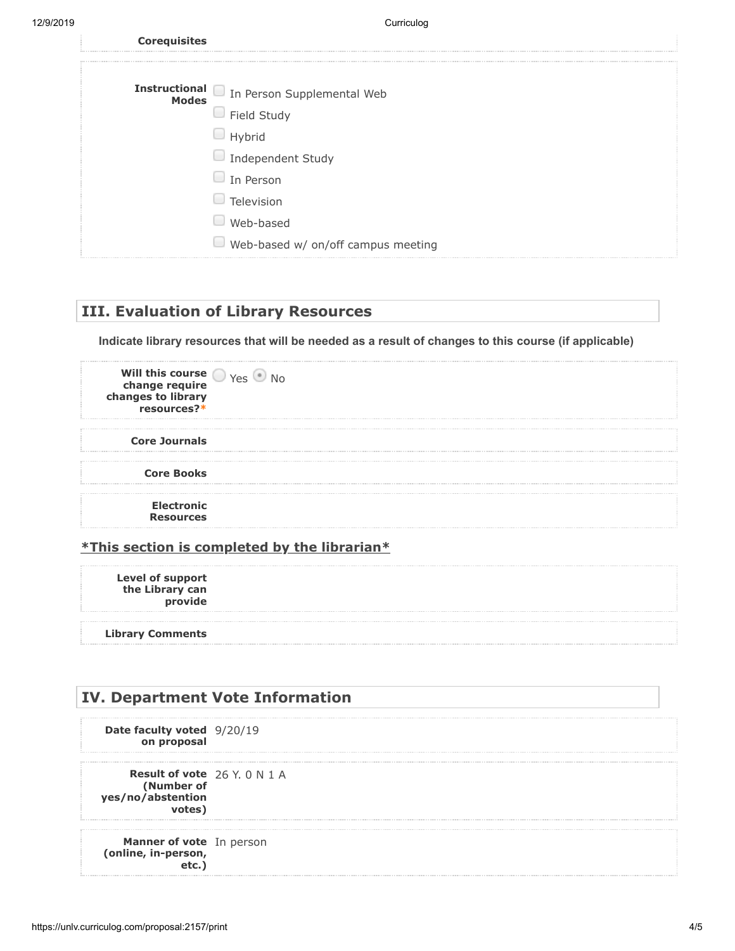| <b>Corequisites</b> |                                          |
|---------------------|------------------------------------------|
|                     | Instructional In Person Supplemental Web |
|                     | $\Box$ Field Study                       |
|                     | Hybrid                                   |
|                     | $\Box$ Independent Study                 |
|                     | In Person                                |
|                     | Television                               |
|                     | Web-based                                |
|                     | Web-based w/ on/off campus meeting       |
|                     |                                          |

#### **III. Evaluation of Library Resources**

**Indicate library resources that will be needed as a result of changes to this course (if applicable)**

| Will this course $\bigcirc$ Yes $\bullet$<br>change require<br>changes to library<br>resources?* |  |
|--------------------------------------------------------------------------------------------------|--|
| <b>Core Journals</b>                                                                             |  |
| <b>Core Books</b>                                                                                |  |
| <b>Electronic</b><br><b>Resources</b>                                                            |  |

#### **\*This section is completed by the librarian\***

**Level of support the Library can provide**

**Library Comments**

## **IV. Department Vote Information Date faculty voted** 9/20/19 **on proposal Result of vote** 26 Y. 0 N 1 A **(Number of yes/no/abstention votes) Manner of vote** In person**(online, in-person, etc.)**